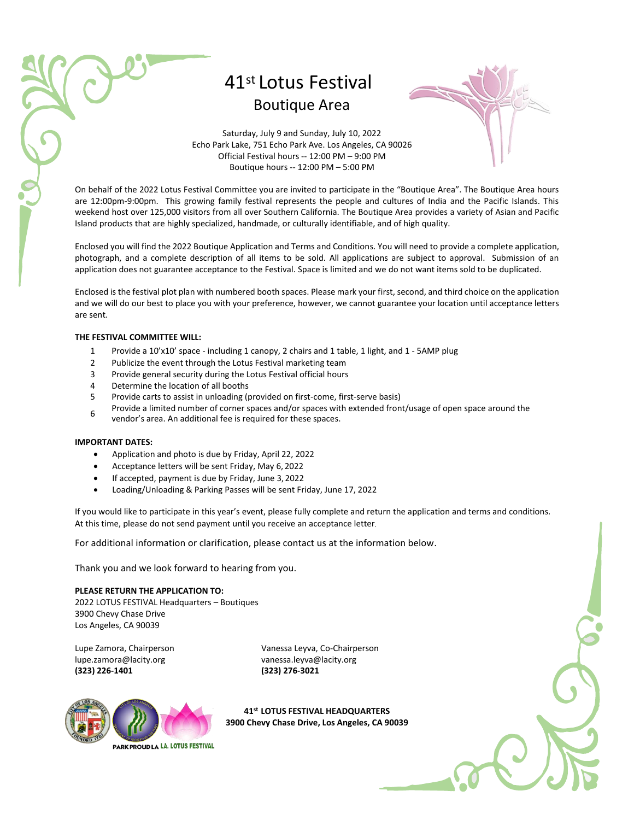# 41st Lotus Festival Boutique Area



Saturday, July 9 and Sunday, July 10, 2022 Echo Park Lake, 751 Echo Park Ave. Los Angeles, CA 90026 Official Festival hours -- 12:00 PM – 9:00 PM Boutique hours -- 12:00 PM – 5:00 PM

On behalf of the 2022 Lotus Festival Committee you are invited to participate in the "Boutique Area". The Boutique Area hours are 12:00pm-9:00pm. This growing family festival represents the people and cultures of India and the Pacific Islands. This weekend host over 125,000 visitors from all over Southern California. The Boutique Area provides a variety of Asian and Pacific Island products that are highly specialized, handmade, or culturally identifiable, and of high quality.

Enclosed you will find the 2022 Boutique Application and Terms and Conditions. You will need to provide a complete application, photograph, and a complete description of all items to be sold. All applications are subject to approval. Submission of an application does not guarantee acceptance to the Festival. Space is limited and we do not want items sold to be duplicated.

Enclosed is the festival plot plan with numbered booth spaces. Please mark your first, second, and third choice on the application and we will do our best to place you with your preference, however, we cannot guarantee your location until acceptance letters are sent.

#### **THE FESTIVAL COMMITTEE WILL:**

- 1 Provide a 10'x10' space including 1 canopy, 2 chairs and 1 table, 1 light, and 1 5AMP plug
- 2 Publicize the event through the Lotus Festival marketing team
- 3 Provide general security during the Lotus Festival official hours
- 4 Determine the location of all booths
- 5 Provide carts to assist in unloading (provided on first-come, first-serve basis)
- 6 Provide a limited number of corner spaces and/or spaces with extended front/usage of open space around the vendor's area. An additional fee is required for these spaces.

#### **IMPORTANT DATES:**

- Application and photo is due by Friday, April 22, 2022
- Acceptance letters will be sent Friday, May 6, 2022
- If accepted, payment is due by Friday, June 3, 2022
- Loading/Unloading & Parking Passes will be sent Friday, June 17, 2022

If you would like to participate in this year's event, please fully complete and return the application and terms and conditions. At this time, please do not send payment until you receive an acceptance letter.

For additional information or clarification, please contact us at the information below.

Thank you and we look forward to hearing from you.

## **PLEASE RETURN THE APPLICATION TO:**

2022 LOTUS FESTIVAL Headquarters – Boutiques 3900 Chevy Chase Drive Los Angeles, CA 90039

[lupe.zamora@lacity.org](mailto:lupe.zamora@lacity.org) [vanessa.leyva@lacity.org](mailto:vanessa.leyva@lacity.org) **(323) 226-1401 (323) 276-3021**

Lupe Zamora, Chairperson Vanessa Leyva, Co-Chairperson



**41st LOTUS FESTIVAL HEADQUARTERS 3900 Chevy Chase Drive, Los Angeles, CA 90039**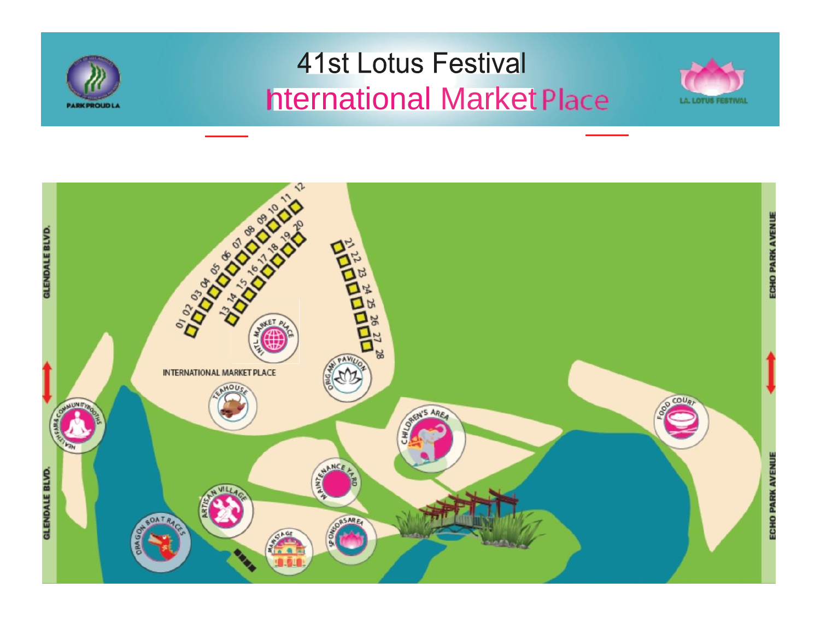

# **41st Lotus Festival hternational Market Place**



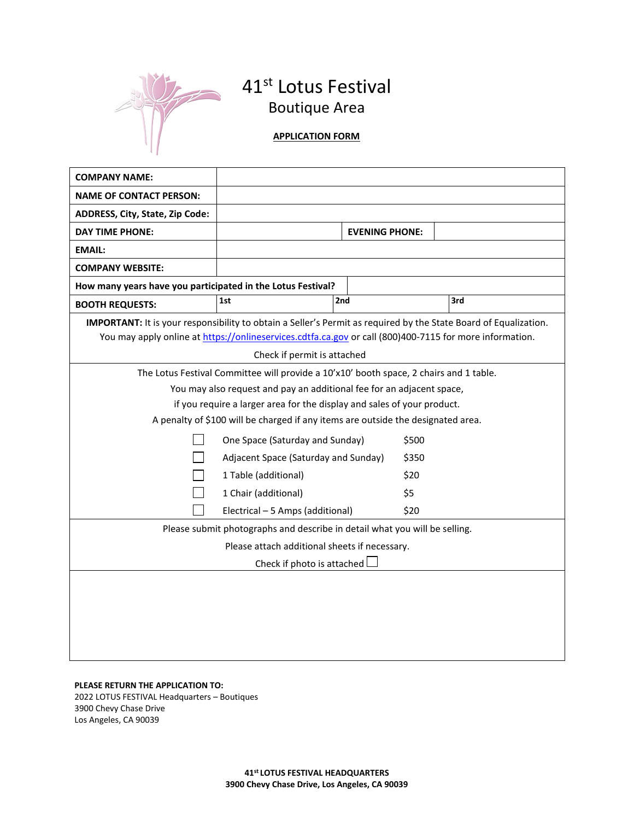

# 41<sup>st</sup> Lotus Festival Boutique Area

## **APPLICATION FORM**

| <b>COMPANY NAME:</b>                                                                                                    |                                      |                       |       |     |  |
|-------------------------------------------------------------------------------------------------------------------------|--------------------------------------|-----------------------|-------|-----|--|
| <b>NAME OF CONTACT PERSON:</b>                                                                                          |                                      |                       |       |     |  |
| ADDRESS, City, State, Zip Code:                                                                                         |                                      |                       |       |     |  |
| <b>DAY TIME PHONE:</b>                                                                                                  |                                      | <b>EVENING PHONE:</b> |       |     |  |
| <b>EMAIL:</b>                                                                                                           |                                      |                       |       |     |  |
| <b>COMPANY WEBSITE:</b>                                                                                                 |                                      |                       |       |     |  |
| How many years have you participated in the Lotus Festival?                                                             |                                      |                       |       |     |  |
| <b>BOOTH REQUESTS:</b>                                                                                                  | 1st                                  | 2nd                   |       | 3rd |  |
| <b>IMPORTANT:</b> It is your responsibility to obtain a Seller's Permit as required by the State Board of Equalization. |                                      |                       |       |     |  |
| You may apply online at https://onlineservices.cdtfa.ca.gov or call (800)400-7115 for more information.                 |                                      |                       |       |     |  |
| Check if permit is attached                                                                                             |                                      |                       |       |     |  |
| The Lotus Festival Committee will provide a 10'x10' booth space, 2 chairs and 1 table.                                  |                                      |                       |       |     |  |
| You may also request and pay an additional fee for an adjacent space,                                                   |                                      |                       |       |     |  |
| if you require a larger area for the display and sales of your product.                                                 |                                      |                       |       |     |  |
| A penalty of \$100 will be charged if any items are outside the designated area.                                        |                                      |                       |       |     |  |
|                                                                                                                         | One Space (Saturday and Sunday)      |                       | \$500 |     |  |
|                                                                                                                         | Adjacent Space (Saturday and Sunday) |                       | \$350 |     |  |
|                                                                                                                         | 1 Table (additional)                 |                       | \$20  |     |  |
|                                                                                                                         | 1 Chair (additional)                 |                       | \$5   |     |  |
|                                                                                                                         | Electrical - 5 Amps (additional)     |                       | \$20  |     |  |
| Please submit photographs and describe in detail what you will be selling.                                              |                                      |                       |       |     |  |
| Please attach additional sheets if necessary.                                                                           |                                      |                       |       |     |  |
| Check if photo is attached                                                                                              |                                      |                       |       |     |  |
|                                                                                                                         |                                      |                       |       |     |  |
|                                                                                                                         |                                      |                       |       |     |  |
|                                                                                                                         |                                      |                       |       |     |  |
|                                                                                                                         |                                      |                       |       |     |  |
|                                                                                                                         |                                      |                       |       |     |  |

### **PLEASE RETURN THE APPLICATION TO:** 2022 LOTUS FESTIVAL Headquarters – Boutiques 3900 Chevy Chase Drive Los Angeles, CA 90039